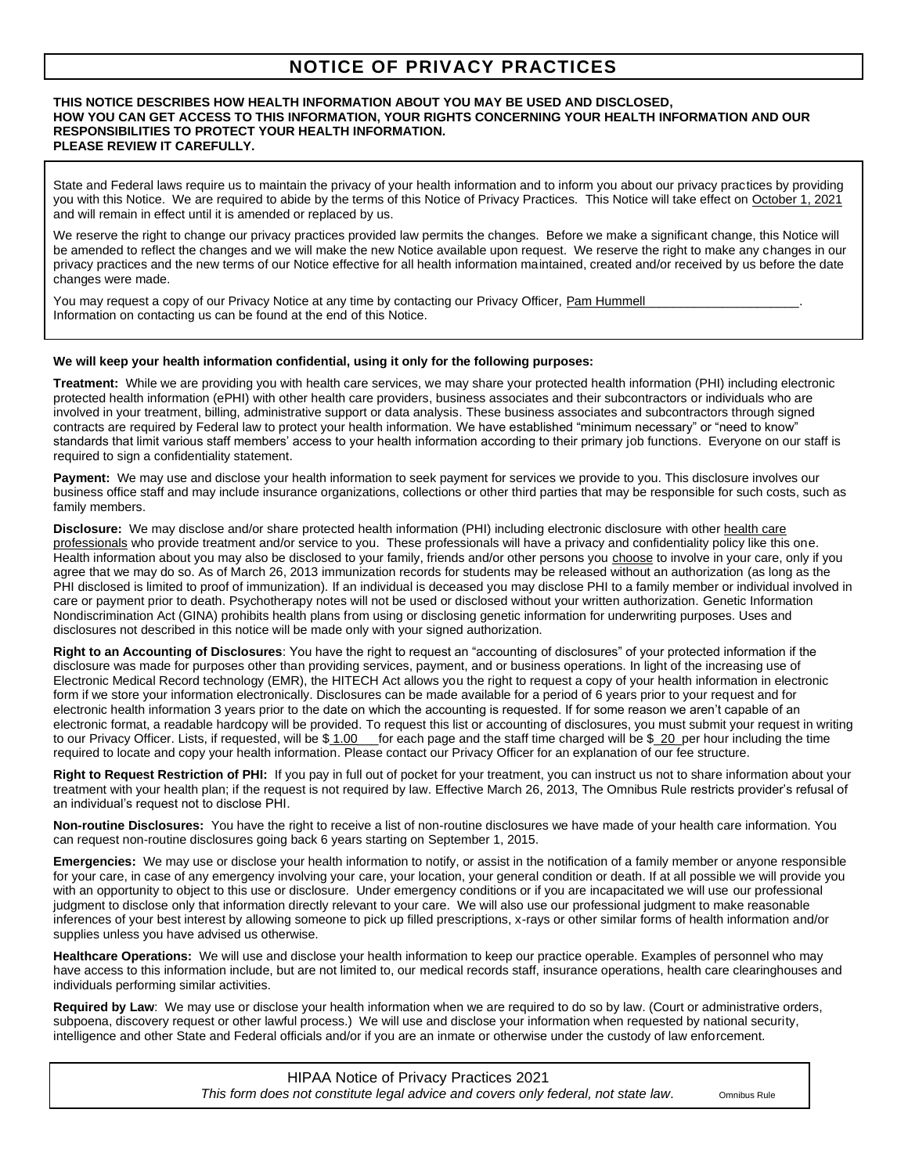## **NOTICE OF PRIVACY PRACTICES**

## **THIS NOTICE DESCRIBES HOW HEALTH INFORMATION ABOUT YOU MAY BE USED AND DISCLOSED, HOW YOU CAN GET ACCESS TO THIS INFORMATION, YOUR RIGHTS CONCERNING YOUR HEALTH INFORMATION AND OUR RESPONSIBILITIES TO PROTECT YOUR HEALTH INFORMATION. PLEASE REVIEW IT CAREFULLY.**

State and Federal laws require us to maintain the privacy of your health information and to inform you about our privacy practices by providing you with this Notice. We are required to abide by the terms of this Notice of Privacy Practices. This Notice will take effect on October 1, 2021 and will remain in effect until it is amended or replaced by us.

We reserve the right to change our privacy practices provided law permits the changes. Before we make a significant change, this Notice will be amended to reflect the changes and we will make the new Notice available upon request. We reserve the right to make any changes in our privacy practices and the new terms of our Notice effective for all health information maintained, created and/or received by us before the date changes were made.

You may request a copy of our Privacy Notice at any time by contacting our Privacy Officer, Pam Hummell Information on contacting us can be found at the end of this Notice.

## **We will keep your health information confidential, using it only for the following purposes:**

**Treatment:** While we are providing you with health care services, we may share your protected health information (PHI) including electronic protected health information (ePHI) with other health care providers, business associates and their subcontractors or individuals who are involved in your treatment, billing, administrative support or data analysis. These business associates and subcontractors through signed contracts are required by Federal law to protect your health information. We have established "minimum necessary" or "need to know" standards that limit various staff members' access to your health information according to their primary job functions. Everyone on our staff is required to sign a confidentiality statement.

**Payment:** We may use and disclose your health information to seek payment for services we provide to you. This disclosure involves our business office staff and may include insurance organizations, collections or other third parties that may be responsible for such costs, such as family members.

**Disclosure:** We may disclose and/or share protected health information (PHI) including electronic disclosure with other health care professionals who provide treatment and/or service to you. These professionals will have a privacy and confidentiality policy like this one. Health information about you may also be disclosed to your family, friends and/or other persons you choose to involve in your care, only if you agree that we may do so. As of March 26, 2013 immunization records for students may be released without an authorization (as long as the PHI disclosed is limited to proof of immunization). If an individual is deceased you may disclose PHI to a family member or individual involved in care or payment prior to death. Psychotherapy notes will not be used or disclosed without your written authorization. Genetic Information Nondiscrimination Act (GINA) prohibits health plans from using or disclosing genetic information for underwriting purposes. Uses and disclosures not described in this notice will be made only with your signed authorization.

**Right to an Accounting of Disclosures**: You have the right to request an "accounting of disclosures" of your protected information if the disclosure was made for purposes other than providing services, payment, and or business operations. In light of the increasing use of Electronic Medical Record technology (EMR), the HITECH Act allows you the right to request a copy of your health information in electronic form if we store your information electronically. Disclosures can be made available for a period of 6 years prior to your request and for electronic health information 3 years prior to the date on which the accounting is requested. If for some reason we aren't capable of an electronic format, a readable hardcopy will be provided. To request this list or accounting of disclosures, you must submit your request in writing to our Privacy Officer. Lists, if requested, will be \$1.00 for each page and the staff time charged will be \$20 per hour including the time required to locate and copy your health information. Please contact our Privacy Officer for an explanation of our fee structure.

**Right to Request Restriction of PHI:** If you pay in full out of pocket for your treatment, you can instruct us not to share information about your treatment with your health plan; if the request is not required by law. Effective March 26, 2013, The Omnibus Rule restricts provider's refusal of an individual's request not to disclose PHI.

**Non-routine Disclosures:** You have the right to receive a list of non-routine disclosures we have made of your health care information. You can request non-routine disclosures going back 6 years starting on September 1, 2015.

**Emergencies:** We may use or disclose your health information to notify, or assist in the notification of a family member or anyone responsible for your care, in case of any emergency involving your care, your location, your general condition or death. If at all possible we will provide you with an opportunity to object to this use or disclosure. Under emergency conditions or if you are incapacitated we will use our professional judgment to disclose only that information directly relevant to your care. We will also use our professional judgment to make reasonable inferences of your best interest by allowing someone to pick up filled prescriptions, x-rays or other similar forms of health information and/or supplies unless you have advised us otherwise.

**Healthcare Operations:** We will use and disclose your health information to keep our practice operable. Examples of personnel who may have access to this information include, but are not limited to, our medical records staff, insurance operations, health care clearinghouses and individuals performing similar activities.

**Required by Law**: We may use or disclose your health information when we are required to do so by law. (Court or administrative orders, subpoena, discovery request or other lawful process.) We will use and disclose your information when requested by national security, intelligence and other State and Federal officials and/or if you are an inmate or otherwise under the custody of law enforcement.

j

 HIPAA Notice of Privacy Practices 2021 *This form does not constitute legal advice and covers only federal, not state law.* Omnibus Rule